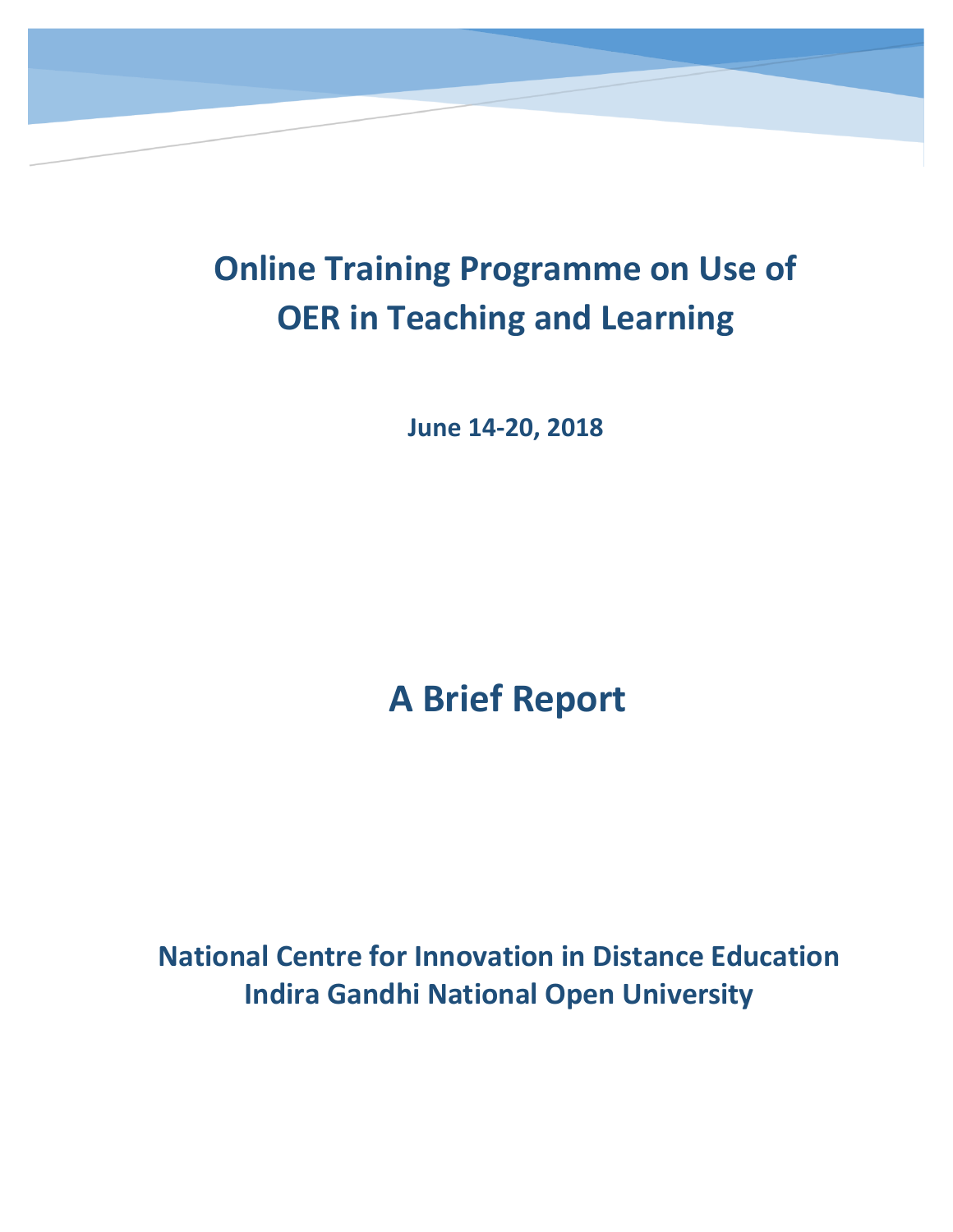

**June 14-20, 2018**

# **A Brief Report**

**National Centre for Innovation in Distance Education Indira Gandhi National Open University**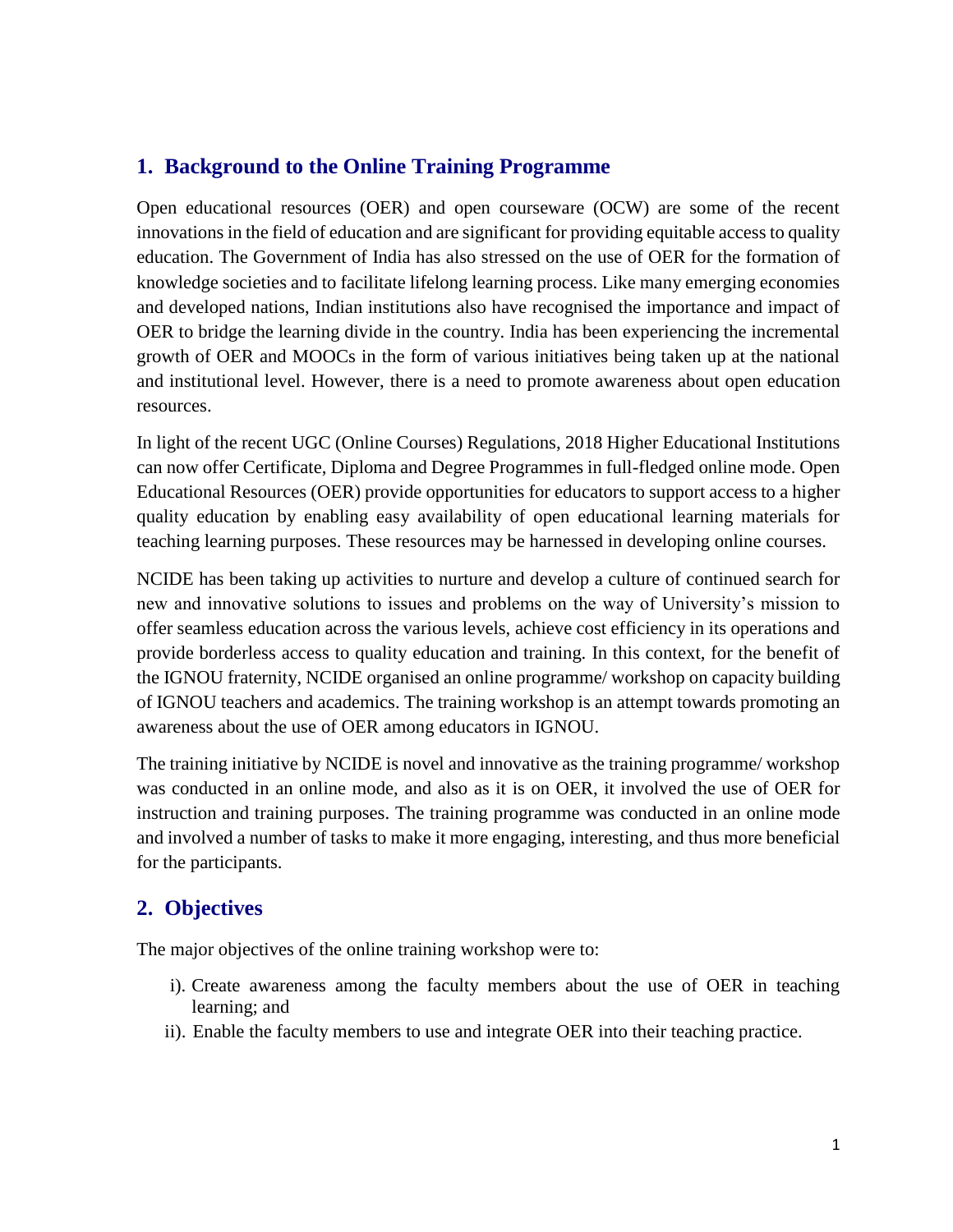#### **1. Background to the Online Training Programme**

Open educational resources (OER) and open courseware (OCW) are some of the recent innovations in the field of education and are significant for providing equitable access to quality education. The Government of India has also stressed on the use of OER for the formation of knowledge societies and to facilitate lifelong learning process. Like many emerging economies and developed nations, Indian institutions also have recognised the importance and impact of OER to bridge the learning divide in the country. India has been experiencing the incremental growth of OER and MOOCs in the form of various initiatives being taken up at the national and institutional level. However, there is a need to promote awareness about open education resources.

In light of the recent UGC (Online Courses) Regulations, 2018 Higher Educational Institutions can now offer Certificate, Diploma and Degree Programmes in full-fledged online mode. Open Educational Resources (OER) provide opportunities for educators to support access to a higher quality education by enabling easy availability of open educational learning materials for teaching learning purposes. These resources may be harnessed in developing online courses.

NCIDE has been taking up activities to nurture and develop a culture of continued search for new and innovative solutions to issues and problems on the way of University's mission to offer seamless education across the various levels, achieve cost efficiency in its operations and provide borderless access to quality education and training. In this context, for the benefit of the IGNOU fraternity, NCIDE organised an online programme/ workshop on capacity building of IGNOU teachers and academics. The training workshop is an attempt towards promoting an awareness about the use of OER among educators in IGNOU.

The training initiative by NCIDE is novel and innovative as the training programme/ workshop was conducted in an online mode, and also as it is on OER, it involved the use of OER for instruction and training purposes. The training programme was conducted in an online mode and involved a number of tasks to make it more engaging, interesting, and thus more beneficial for the participants.

#### **2. Objectives**

The major objectives of the online training workshop were to:

- i). Create awareness among the faculty members about the use of OER in teaching learning; and
- ii). Enable the faculty members to use and integrate OER into their teaching practice.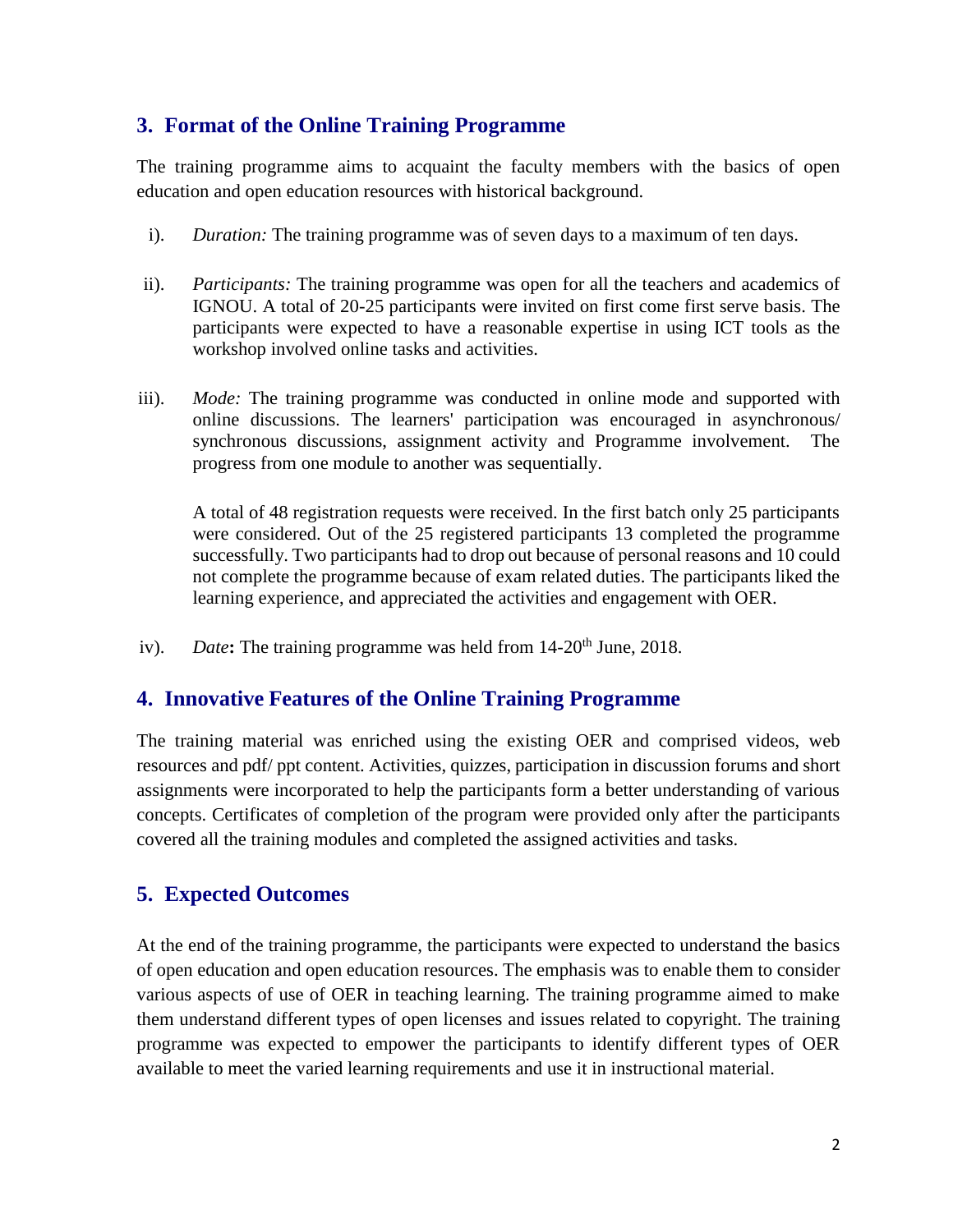#### **3. Format of the Online Training Programme**

The training programme aims to acquaint the faculty members with the basics of open education and open education resources with historical background.

- i). *Duration:* The training programme was of seven days to a maximum of ten days.
- ii). *Participants:* The training programme was open for all the teachers and academics of IGNOU. A total of 20-25 participants were invited on first come first serve basis. The participants were expected to have a reasonable expertise in using ICT tools as the workshop involved online tasks and activities.
- iii). *Mode:* The training programme was conducted in online mode and supported with online discussions. The learners' participation was encouraged in asynchronous/ synchronous discussions, assignment activity and Programme involvement. The progress from one module to another was sequentially.

A total of 48 registration requests were received. In the first batch only 25 participants were considered. Out of the 25 registered participants 13 completed the programme successfully. Two participants had to drop out because of personal reasons and 10 could not complete the programme because of exam related duties. The participants liked the learning experience, and appreciated the activities and engagement with OER.

iv). *Date***:** The training programme was held from 14-20<sup>th</sup> June, 2018.

#### **4. Innovative Features of the Online Training Programme**

The training material was enriched using the existing OER and comprised videos, web resources and pdf/ ppt content. Activities, quizzes, participation in discussion forums and short assignments were incorporated to help the participants form a better understanding of various concepts. Certificates of completion of the program were provided only after the participants covered all the training modules and completed the assigned activities and tasks.

#### **5. Expected Outcomes**

At the end of the training programme, the participants were expected to understand the basics of open education and open education resources. The emphasis was to enable them to consider various aspects of use of OER in teaching learning. The training programme aimed to make them understand different types of open licenses and issues related to copyright. The training programme was expected to empower the participants to identify different types of OER available to meet the varied learning requirements and use it in instructional material.